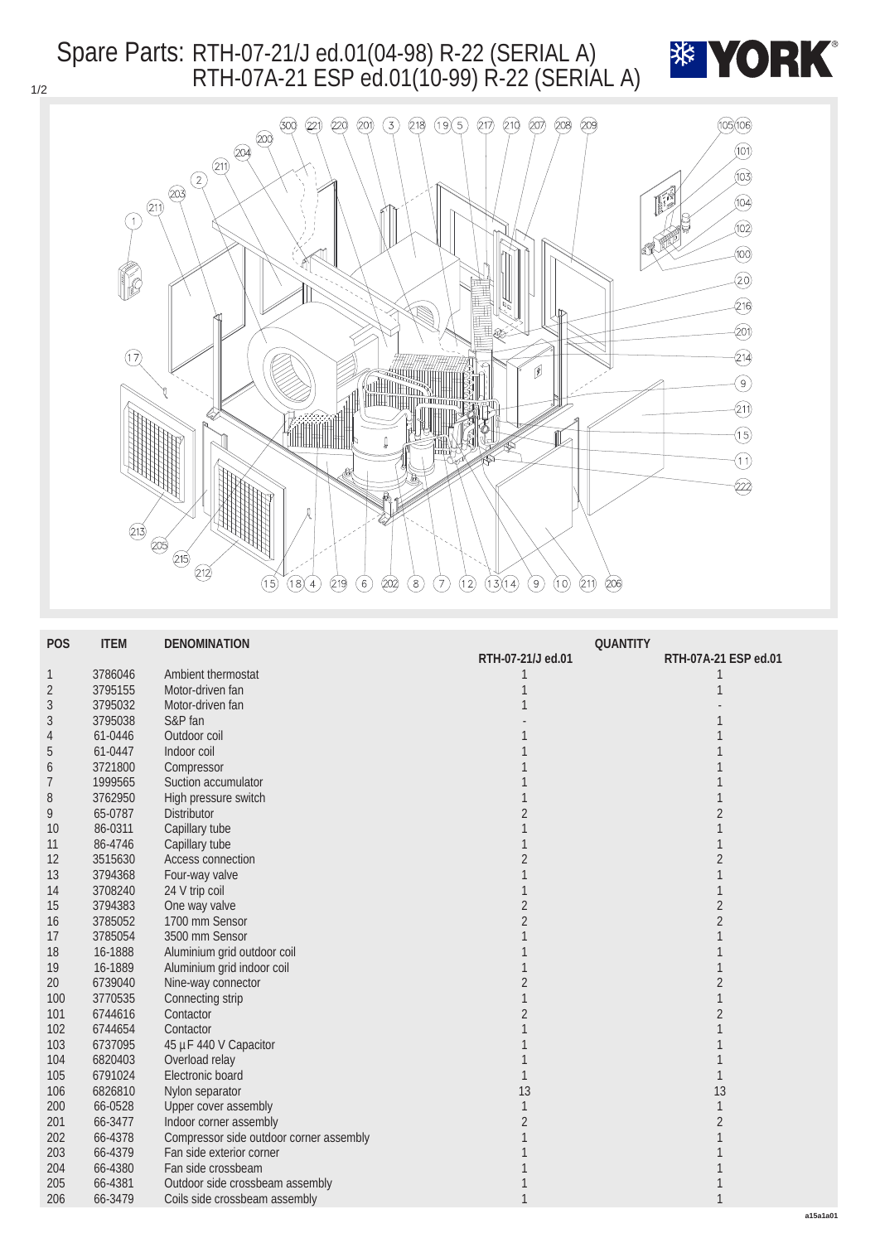## Spare Parts: RTH-07-21/J ed.01(04-98) R-22 (SERIAL A) RTH-07A-21 ESP ed.01(10-99) R-22 (SERIAL A)





| <b>POS</b>       | <b>ITEM</b> | <b>DENOMINATION</b>                     | <b>QUANTITY</b>   |                         |  |
|------------------|-------------|-----------------------------------------|-------------------|-------------------------|--|
|                  |             |                                         | RTH-07-21/J ed.01 | RTH-07A-21 ESP ed.01    |  |
| $\mathbf{1}$     | 3786046     | Ambient thermostat                      | 1                 |                         |  |
| $\sqrt{2}$       | 3795155     | Motor-driven fan                        | 1                 |                         |  |
| $\sqrt{3}$       | 3795032     | Motor-driven fan                        |                   |                         |  |
| 3                | 3795038     | S&P fan                                 |                   |                         |  |
| 4                | 61-0446     | Outdoor coil                            |                   |                         |  |
| $\overline{5}$   | 61-0447     | Indoor coil                             |                   |                         |  |
| $\boldsymbol{6}$ | 3721800     | Compressor                              |                   |                         |  |
| 7                | 1999565     | Suction accumulator                     |                   |                         |  |
| 8                | 3762950     | High pressure switch                    |                   |                         |  |
| 9                | 65-0787     | <b>Distributor</b>                      |                   |                         |  |
| 10               | 86-0311     | Capillary tube                          |                   |                         |  |
| 11               | 86-4746     | Capillary tube                          |                   |                         |  |
| 12               | 3515630     | <b>Access connection</b>                |                   | $\overline{\mathbf{2}}$ |  |
| 13               | 3794368     | Four-way valve                          |                   |                         |  |
| 14               | 3708240     | 24 V trip coil                          |                   |                         |  |
| 15               | 3794383     | One way valve                           | $\overline{c}$    | $\overline{2}$          |  |
| 16               | 3785052     | 1700 mm Sensor                          | $\overline{2}$    | $\overline{2}$          |  |
| 17               | 3785054     | 3500 mm Sensor                          |                   |                         |  |
| 18               | 16-1888     | Aluminium grid outdoor coil             |                   |                         |  |
| 19               | 16-1889     | Aluminium grid indoor coil              |                   |                         |  |
| $20\,$           | 6739040     | Nine-way connector                      | $\overline{2}$    |                         |  |
| 100              | 3770535     | Connecting strip                        |                   |                         |  |
| 101              | 6744616     | Contactor                               |                   |                         |  |
| 102              | 6744654     | Contactor                               |                   |                         |  |
| 103              | 6737095     | 45 µF 440 V Capacitor                   |                   |                         |  |
| 104              | 6820403     | Overload relay                          |                   |                         |  |
| 105              | 6791024     | Electronic board                        |                   |                         |  |
| 106              | 6826810     | Nylon separator                         | 13                | 13                      |  |
| 200              | 66-0528     | <b>Upper cover assembly</b>             |                   |                         |  |
| 201              | 66-3477     | Indoor corner assembly                  | $\overline{2}$    |                         |  |
| $202\,$          | 66-4378     | Compressor side outdoor corner assembly |                   |                         |  |
| 203              | 66-4379     | Fan side exterior corner                |                   |                         |  |
| 204              | 66-4380     | Fan side crossbeam                      |                   |                         |  |
| 205              | 66-4381     | Outdoor side crossbeam assembly         |                   |                         |  |
| 206              | 66-3479     | Coils side crossbeam assembly           |                   |                         |  |
|                  |             |                                         |                   |                         |  |